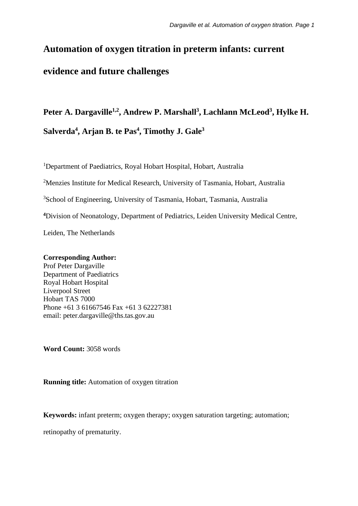# **Automation of oxygen titration in preterm infants: current evidence and future challenges**

# **Peter A. Dargaville1,2 , Andrew P. Marshall3 , Lachlann McLeod3 , Hylke H. Salverda4 , Arjan B. te Pas4 , Timothy J. Gale3**

<sup>1</sup>Department of Paediatrics, Royal Hobart Hospital, Hobart, Australia

<sup>2</sup>Menzies Institute for Medical Research, University of Tasmania, Hobart, Australia

3 School of Engineering, University of Tasmania, Hobart, Tasmania, Australia

**4** Division of Neonatology, Department of Pediatrics, Leiden University Medical Centre,

Leiden, The Netherlands

## **Corresponding Author:**

Prof Peter Dargaville Department of Paediatrics Royal Hobart Hospital Liverpool Street Hobart TAS 7000 Phone +61 3 61667546 Fax +61 3 62227381 email: peter.dargaville@ths.tas.gov.au

**Word Count:** 3058 words

**Running title:** Automation of oxygen titration

**Keywords:** infant preterm; oxygen therapy; oxygen saturation targeting; automation;

retinopathy of prematurity.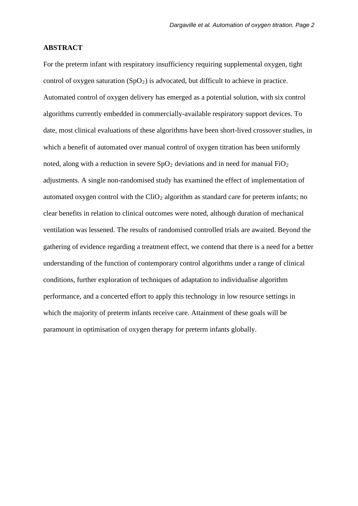#### **ABSTRACT**

For the preterm infant with respiratory insufficiency requiring supplemental oxygen, tight control of oxygen saturation  $(SpO<sub>2</sub>)$  is advocated, but difficult to achieve in practice. Automated control of oxygen delivery has emerged as a potential solution, with six control algorithms currently embedded in commercially-available respiratory support devices. To date, most clinical evaluations of these algorithms have been short-lived crossover studies, in which a benefit of automated over manual control of oxygen titration has been uniformly noted, along with a reduction in severe  $SpO<sub>2</sub>$  deviations and in need for manual FiO<sub>2</sub> adjustments. A single non-randomised study has examined the effect of implementation of automated oxygen control with the  $\text{CiO}_2$  algorithm as standard care for preterm infants; no clear benefits in relation to clinical outcomes were noted, although duration of mechanical ventilation was lessened. The results of randomised controlled trials are awaited. Beyond the gathering of evidence regarding a treatment effect, we contend that there is a need for a better understanding of the function of contemporary control algorithms under a range of clinical conditions, further exploration of techniques of adaptation to individualise algorithm performance, and a concerted effort to apply this technology in low resource settings in which the majority of preterm infants receive care. Attainment of these goals will be paramount in optimisation of oxygen therapy for preterm infants globally.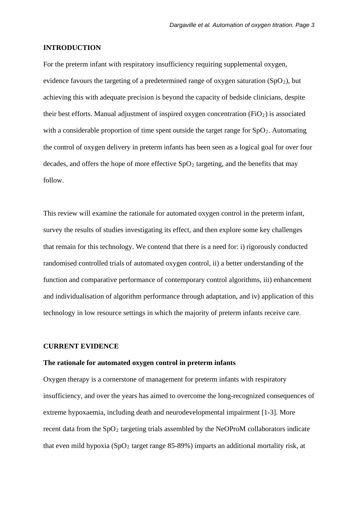#### **INTRODUCTION**

For the preterm infant with respiratory insufficiency requiring supplemental oxygen, evidence favours the targeting of a predetermined range of oxygen saturation  $(SpO<sub>2</sub>)$ , but achieving this with adequate precision is beyond the capacity of bedside clinicians, despite their best efforts. Manual adjustment of inspired oxygen concentration  $(FiO<sub>2</sub>)$  is associated with a considerable proportion of time spent outside the target range for  $SpO<sub>2</sub>$ . Automating the control of oxygen delivery in preterm infants has been seen as a logical goal for over four decades, and offers the hope of more effective  $SpO<sub>2</sub>$  targeting, and the benefits that may follow.

This review will examine the rationale for automated oxygen control in the preterm infant, survey the results of studies investigating its effect, and then explore some key challenges that remain for this technology. We contend that there is a need for: i) rigorously conducted randomised controlled trials of automated oxygen control, ii) a better understanding of the function and comparative performance of contemporary control algorithms, iii) enhancement and individualisation of algorithm performance through adaptation, and iv) application of this technology in low resource settings in which the majority of preterm infants receive care.

## **CURRENT EVIDENCE**

#### **The rationale for automated oxygen control in preterm infants**

Oxygen therapy is a cornerstone of management for preterm infants with respiratory insufficiency, and over the years has aimed to overcome the long-recognized consequences of extreme hypoxaemia, including death and neurodevelopmental impairment [1-3]. More recent data from the  $SpO<sub>2</sub>$  targeting trials assembled by the NeOProM collaborators indicate that even mild hypoxia (SpO<sub>2</sub> target range 85-89%) imparts an additional mortality risk, at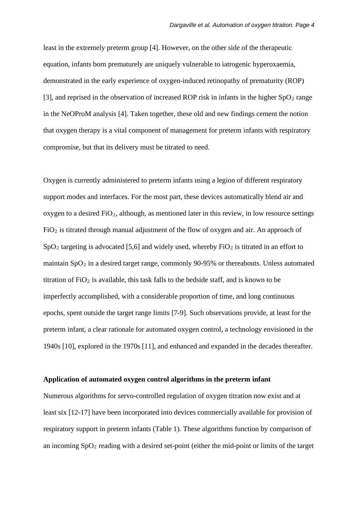least in the extremely preterm group [4]. However, on the other side of the therapeutic equation, infants born prematurely are uniquely vulnerable to iatrogenic hyperoxaemia, demonstrated in the early experience of oxygen-induced retinopathy of prematurity (ROP) [3], and reprised in the observation of increased ROP risk in infants in the higher  $SpO<sub>2</sub>$  range in the NeOProM analysis [4]. Taken together, these old and new findings cement the notion that oxygen therapy is a vital component of management for preterm infants with respiratory compromise, but that its delivery must be titrated to need.

Oxygen is currently administered to preterm infants using a legion of different respiratory support modes and interfaces. For the most part, these devices automatically blend air and oxygen to a desired  $FiO<sub>2</sub>$ , although, as mentioned later in this review, in low resource settings  $FiO<sub>2</sub>$  is titrated through manual adjustment of the flow of oxygen and air. An approach of  $SpO<sub>2</sub>$  targeting is advocated [5,6] and widely used, whereby FiO<sub>2</sub> is titrated in an effort to maintain  $SpO<sub>2</sub>$  in a desired target range, commonly 90-95% or thereabouts. Unless automated titration of  $FiO<sub>2</sub>$  is available, this task falls to the bedside staff, and is known to be imperfectly accomplished, with a considerable proportion of time, and long continuous epochs, spent outside the target range limits [7-9]. Such observations provide, at least for the preterm infant, a clear rationale for automated oxygen control, a technology envisioned in the 1940s [10], explored in the 1970s [11], and enhanced and expanded in the decades thereafter.

#### **Application of automated oxygen control algorithms in the preterm infant**

Numerous algorithms for servo-controlled regulation of oxygen titration now exist and at least six [12-17] have been incorporated into devices commercially available for provision of respiratory support in preterm infants (Table 1). These algorithms function by comparison of an incoming SpO2 reading with a desired set-point (either the mid-point or limits of the target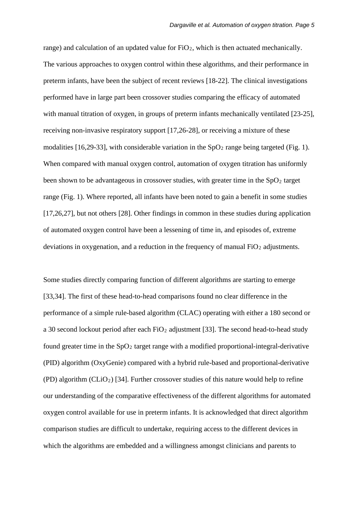range) and calculation of an updated value for  $FiO<sub>2</sub>$ , which is then actuated mechanically. The various approaches to oxygen control within these algorithms, and their performance in preterm infants, have been the subject of recent reviews [18-22]. The clinical investigations performed have in large part been crossover studies comparing the efficacy of automated with manual titration of oxygen, in groups of preterm infants mechanically ventilated [23-25], receiving non-invasive respiratory support [17,26-28], or receiving a mixture of these modalities [16,29-33], with considerable variation in the  $SpO<sub>2</sub>$  range being targeted (Fig. 1). When compared with manual oxygen control, automation of oxygen titration has uniformly been shown to be advantageous in crossover studies, with greater time in the  $SpO<sub>2</sub>$  target range (Fig. 1). Where reported, all infants have been noted to gain a benefit in some studies [17,26,27], but not others [28]. Other findings in common in these studies during application of automated oxygen control have been a lessening of time in, and episodes of, extreme deviations in oxygenation, and a reduction in the frequency of manual  $FiO<sub>2</sub>$  adjustments.

Some studies directly comparing function of different algorithms are starting to emerge [33,34]. The first of these head-to-head comparisons found no clear difference in the performance of a simple rule-based algorithm (CLAC) operating with either a 180 second or a 30 second lockout period after each  $FiO<sub>2</sub>$  adjustment [33]. The second head-to-head study found greater time in the  $SpO<sub>2</sub>$  target range with a modified proportional-integral-derivative (PID) algorithm (OxyGenie) compared with a hybrid rule-based and proportional-derivative  $(PD)$  algorithm  $(CLiO<sub>2</sub>)$  [34]. Further crossover studies of this nature would help to refine our understanding of the comparative effectiveness of the different algorithms for automated oxygen control available for use in preterm infants. It is acknowledged that direct algorithm comparison studies are difficult to undertake, requiring access to the different devices in which the algorithms are embedded and a willingness amongst clinicians and parents to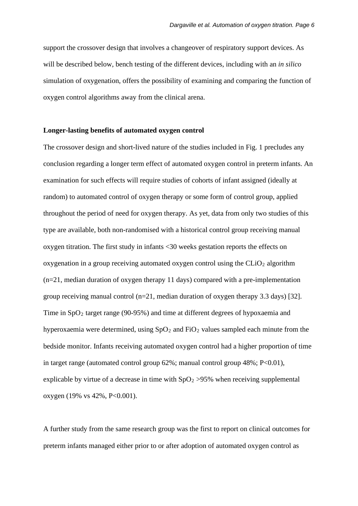support the crossover design that involves a changeover of respiratory support devices. As will be described below, bench testing of the different devices, including with an *in silico* simulation of oxygenation, offers the possibility of examining and comparing the function of oxygen control algorithms away from the clinical arena.

#### **Longer-lasting benefits of automated oxygen control**

The crossover design and short-lived nature of the studies included in Fig. 1 precludes any conclusion regarding a longer term effect of automated oxygen control in preterm infants. An examination for such effects will require studies of cohorts of infant assigned (ideally at random) to automated control of oxygen therapy or some form of control group, applied throughout the period of need for oxygen therapy. As yet, data from only two studies of this type are available, both non-randomised with a historical control group receiving manual oxygen titration. The first study in infants <30 weeks gestation reports the effects on oxygenation in a group receiving automated oxygen control using the  $CLiO<sub>2</sub>$  algorithm (n=21, median duration of oxygen therapy 11 days) compared with a pre-implementation group receiving manual control (n=21, median duration of oxygen therapy 3.3 days) [32]. Time in  $SpO<sub>2</sub>$  target range (90-95%) and time at different degrees of hypoxaemia and hyperoxaemia were determined, using  $SpO<sub>2</sub>$  and  $FiO<sub>2</sub>$  values sampled each minute from the bedside monitor. Infants receiving automated oxygen control had a higher proportion of time in target range (automated control group 62%; manual control group 48%; P<0.01), explicable by virtue of a decrease in time with  $SpO<sub>2</sub> >95%$  when receiving supplemental oxygen (19% vs 42%, P<0.001).

A further study from the same research group was the first to report on clinical outcomes for preterm infants managed either prior to or after adoption of automated oxygen control as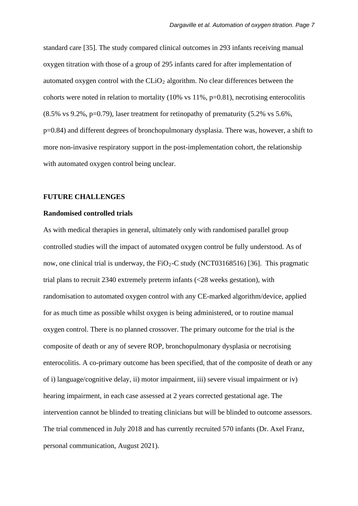standard care [35]. The study compared clinical outcomes in 293 infants receiving manual oxygen titration with those of a group of 295 infants cared for after implementation of automated oxygen control with the  $CLiO<sub>2</sub>$  algorithm. No clear differences between the cohorts were noted in relation to mortality (10% vs 11%, p=0.81), necrotising enterocolitis (8.5% vs 9.2%, p=0.79), laser treatment for retinopathy of prematurity (5.2% vs 5.6%, p=0.84) and different degrees of bronchopulmonary dysplasia. There was, however, a shift to more non-invasive respiratory support in the post-implementation cohort, the relationship with automated oxygen control being unclear.

#### **FUTURE CHALLENGES**

#### **Randomised controlled trials**

As with medical therapies in general, ultimately only with randomised parallel group controlled studies will the impact of automated oxygen control be fully understood. As of now, one clinical trial is underway, the  $FiO<sub>2</sub>-C$  study (NCT03168516) [36]. This pragmatic trial plans to recruit 2340 extremely preterm infants (<28 weeks gestation), with randomisation to automated oxygen control with any CE-marked algorithm/device, applied for as much time as possible whilst oxygen is being administered, or to routine manual oxygen control. There is no planned crossover. The primary outcome for the trial is the composite of death or any of severe ROP, bronchopulmonary dysplasia or necrotising enterocolitis. A co-primary outcome has been specified, that of the composite of death or any of i) language/cognitive delay, ii) motor impairment, iii) severe visual impairment or iv) hearing impairment, in each case assessed at 2 years corrected gestational age. The intervention cannot be blinded to treating clinicians but will be blinded to outcome assessors. The trial commenced in July 2018 and has currently recruited 570 infants (Dr. Axel Franz, personal communication, August 2021).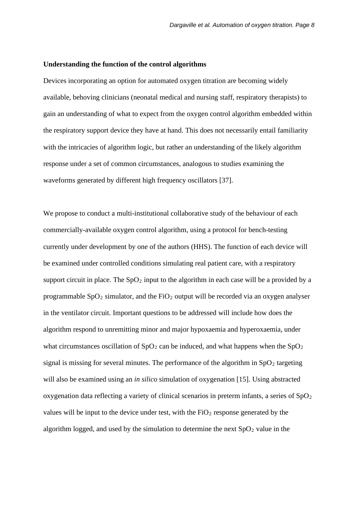#### **Understanding the function of the control algorithms**

Devices incorporating an option for automated oxygen titration are becoming widely available, behoving clinicians (neonatal medical and nursing staff, respiratory therapists) to gain an understanding of what to expect from the oxygen control algorithm embedded within the respiratory support device they have at hand. This does not necessarily entail familiarity with the intricacies of algorithm logic, but rather an understanding of the likely algorithm response under a set of common circumstances, analogous to studies examining the waveforms generated by different high frequency oscillators [37].

We propose to conduct a multi-institutional collaborative study of the behaviour of each commercially-available oxygen control algorithm, using a protocol for bench-testing currently under development by one of the authors (HHS). The function of each device will be examined under controlled conditions simulating real patient care, with a respiratory support circuit in place. The  $SpO<sub>2</sub>$  input to the algorithm in each case will be a provided by a programmable  $SpO<sub>2</sub>$  simulator, and the FiO<sub>2</sub> output will be recorded via an oxygen analyser in the ventilator circuit. Important questions to be addressed will include how does the algorithm respond to unremitting minor and major hypoxaemia and hyperoxaemia, under what circumstances oscillation of  $SpO<sub>2</sub>$  can be induced, and what happens when the  $SpO<sub>2</sub>$ signal is missing for several minutes. The performance of the algorithm in  $SpO<sub>2</sub>$  targeting will also be examined using an *in silico* simulation of oxygenation [15]. Using abstracted oxygenation data reflecting a variety of clinical scenarios in preterm infants, a series of  $SpO<sub>2</sub>$ values will be input to the device under test, with the  $FiO<sub>2</sub>$  response generated by the algorithm logged, and used by the simulation to determine the next  $SpO<sub>2</sub>$  value in the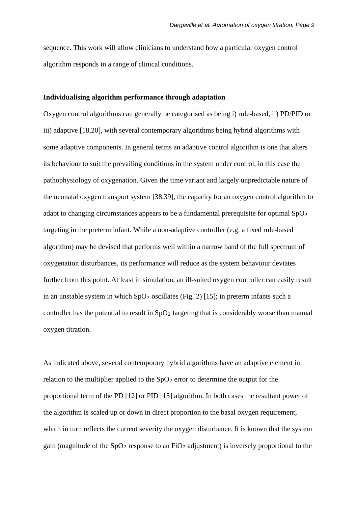sequence. This work will allow clinicians to understand how a particular oxygen control algorithm responds in a range of clinical conditions.

#### **Individualising algorithm performance through adaptation**

Oxygen control algorithms can generally be categorised as being i) rule-based, ii) PD/PID or iii) adaptive [18,20], with several contemporary algorithms being hybrid algorithms with some adaptive components. In general terms an adaptive control algorithm is one that alters its behaviour to suit the prevailing conditions in the system under control, in this case the pathophysiology of oxygenation. Given the time variant and largely unpredictable nature of the neonatal oxygen transport system [38,39], the capacity for an oxygen control algorithm to adapt to changing circumstances appears to be a fundamental prerequisite for optimal  $SpO<sub>2</sub>$ targeting in the preterm infant. While a non-adaptive controller (e.g. a fixed rule-based algorithm) may be devised that performs well within a narrow band of the full spectrum of oxygenation disturbances, its performance will reduce as the system behaviour deviates further from this point. At least in simulation, an ill-suited oxygen controller can easily result in an unstable system in which  $SpO<sub>2</sub>$  oscillates (Fig. 2) [15]; in preterm infants such a controller has the potential to result in  $SpO<sub>2</sub>$  targeting that is considerably worse than manual oxygen titration.

As indicated above, several contemporary hybrid algorithms have an adaptive element in relation to the multiplier applied to the  $SpO<sub>2</sub>$  error to determine the output for the proportional term of the PD [12] or PID [15] algorithm. In both cases the resultant power of the algorithm is scaled up or down in direct proportion to the basal oxygen requirement, which in turn reflects the current severity the oxygen disturbance. It is known that the system gain (magnitude of the  $SpO<sub>2</sub>$  response to an  $FiO<sub>2</sub>$  adjustment) is inversely proportional to the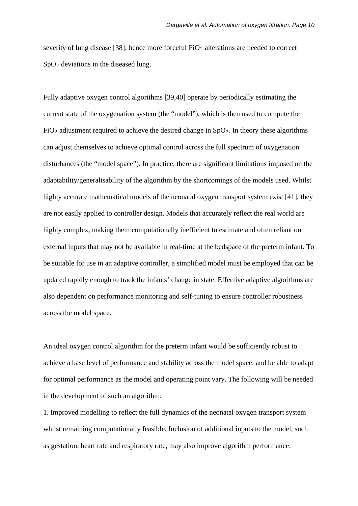severity of lung disease [38]; hence more forceful  $FiO<sub>2</sub>$  alterations are needed to correct  $SpO<sub>2</sub>$  deviations in the diseased lung.

Fully adaptive oxygen control algorithms [39,40] operate by periodically estimating the current state of the oxygenation system (the "model"), which is then used to compute the  $FiO<sub>2</sub>$  adjustment required to achieve the desired change in  $SpO<sub>2</sub>$ . In theory these algorithms can adjust themselves to achieve optimal control across the full spectrum of oxygenation disturbances (the "model space"). In practice, there are significant limitations imposed on the adaptability/generalisability of the algorithm by the shortcomings of the models used. Whilst highly accurate mathematical models of the neonatal oxygen transport system exist [41], they are not easily applied to controller design. Models that accurately reflect the real world are highly complex, making them computationally inefficient to estimate and often reliant on external inputs that may not be available in real-time at the bedspace of the preterm infant. To be suitable for use in an adaptive controller, a simplified model must be employed that can be updated rapidly enough to track the infants' change in state. Effective adaptive algorithms are also dependent on performance monitoring and self-tuning to ensure controller robustness across the model space.

An ideal oxygen control algorithm for the preterm infant would be sufficiently robust to achieve a base level of performance and stability across the model space, and be able to adapt for optimal performance as the model and operating point vary. The following will be needed in the development of such an algorithm:

1. Improved modelling to reflect the full dynamics of the neonatal oxygen transport system whilst remaining computationally feasible. Inclusion of additional inputs to the model, such as gestation, heart rate and respiratory rate, may also improve algorithm performance.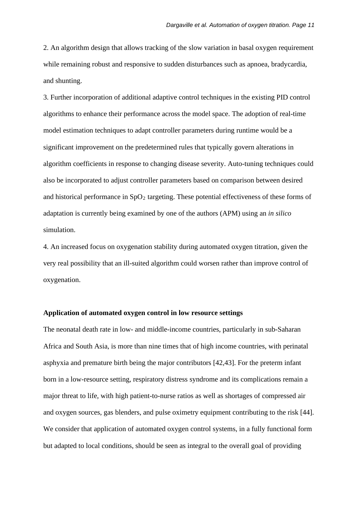2. An algorithm design that allows tracking of the slow variation in basal oxygen requirement while remaining robust and responsive to sudden disturbances such as apnoea, bradycardia, and shunting.

3. Further incorporation of additional adaptive control techniques in the existing PID control algorithms to enhance their performance across the model space. The adoption of real-time model estimation techniques to adapt controller parameters during runtime would be a significant improvement on the predetermined rules that typically govern alterations in algorithm coefficients in response to changing disease severity. Auto-tuning techniques could also be incorporated to adjust controller parameters based on comparison between desired and historical performance in  $SpO<sub>2</sub>$  targeting. These potential effectiveness of these forms of adaptation is currently being examined by one of the authors (APM) using an *in silico* simulation.

4. An increased focus on oxygenation stability during automated oxygen titration, given the very real possibility that an ill-suited algorithm could worsen rather than improve control of oxygenation.

## **Application of automated oxygen control in low resource settings**

The neonatal death rate in low- and middle-income countries, particularly in sub-Saharan Africa and South Asia, is more than nine times that of high income countries, with perinatal asphyxia and premature birth being the major contributors [42,43]. For the preterm infant born in a low-resource setting, respiratory distress syndrome and its complications remain a major threat to life, with high patient-to-nurse ratios as well as shortages of compressed air and oxygen sources, gas blenders, and pulse oximetry equipment contributing to the risk [44]. We consider that application of automated oxygen control systems, in a fully functional form but adapted to local conditions, should be seen as integral to the overall goal of providing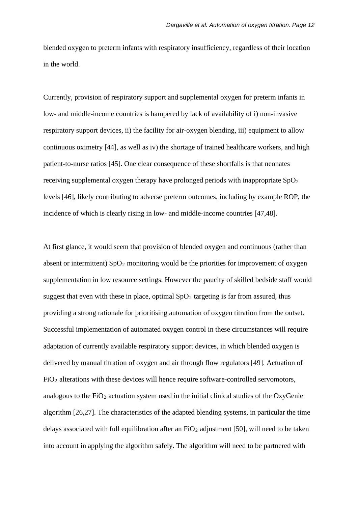blended oxygen to preterm infants with respiratory insufficiency, regardless of their location in the world.

Currently, provision of respiratory support and supplemental oxygen for preterm infants in low- and middle-income countries is hampered by lack of availability of i) non-invasive respiratory support devices, ii) the facility for air-oxygen blending, iii) equipment to allow continuous oximetry [44], as well as iv) the shortage of trained healthcare workers, and high patient-to-nurse ratios [45]. One clear consequence of these shortfalls is that neonates receiving supplemental oxygen therapy have prolonged periods with inappropriate SpO<sub>2</sub> levels [46], likely contributing to adverse preterm outcomes, including by example ROP, the incidence of which is clearly rising in low- and middle-income countries [47,48].

At first glance, it would seem that provision of blended oxygen and continuous (rather than absent or intermittent)  $SpO<sub>2</sub>$  monitoring would be the priorities for improvement of oxygen supplementation in low resource settings. However the paucity of skilled bedside staff would suggest that even with these in place, optimal  $SpO<sub>2</sub>$  targeting is far from assured, thus providing a strong rationale for prioritising automation of oxygen titration from the outset. Successful implementation of automated oxygen control in these circumstances will require adaptation of currently available respiratory support devices, in which blended oxygen is delivered by manual titration of oxygen and air through flow regulators [49]. Actuation of  $FiO<sub>2</sub>$  alterations with these devices will hence require software-controlled servomotors, analogous to the  $FiO<sub>2</sub>$  actuation system used in the initial clinical studies of the OxyGenie algorithm [26,27]. The characteristics of the adapted blending systems, in particular the time delays associated with full equilibration after an  $FiO<sub>2</sub>$  adjustment [50], will need to be taken into account in applying the algorithm safely. The algorithm will need to be partnered with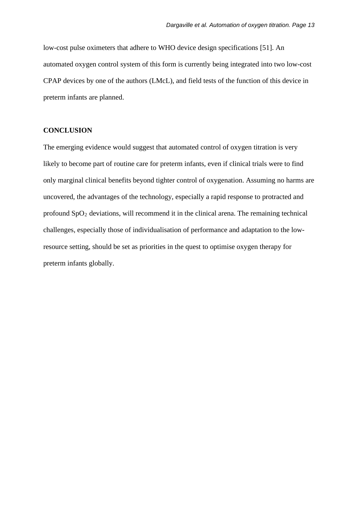low-cost pulse oximeters that adhere to WHO device design specifications [51]. An automated oxygen control system of this form is currently being integrated into two low-cost CPAP devices by one of the authors (LMcL), and field tests of the function of this device in preterm infants are planned.

# **CONCLUSION**

The emerging evidence would suggest that automated control of oxygen titration is very likely to become part of routine care for preterm infants, even if clinical trials were to find only marginal clinical benefits beyond tighter control of oxygenation. Assuming no harms are uncovered, the advantages of the technology, especially a rapid response to protracted and profound  $SpO<sub>2</sub>$  deviations, will recommend it in the clinical arena. The remaining technical challenges, especially those of individualisation of performance and adaptation to the lowresource setting, should be set as priorities in the quest to optimise oxygen therapy for preterm infants globally.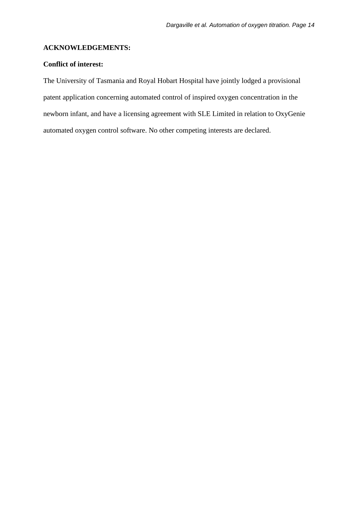#### **ACKNOWLEDGEMENTS:**

# **Conflict of interest:**

The University of Tasmania and Royal Hobart Hospital have jointly lodged a provisional patent application concerning automated control of inspired oxygen concentration in the newborn infant, and have a licensing agreement with SLE Limited in relation to OxyGenie automated oxygen control software. No other competing interests are declared.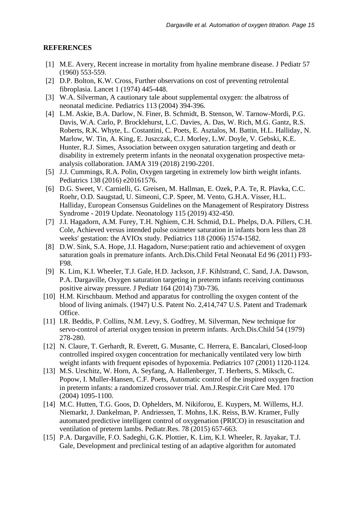# **REFERENCES**

- [1] M.E. Avery, Recent increase in mortality from hyaline membrane disease. J Pediatr 57 (1960) 553-559.
- [2] D.P. Bolton, K.W. Cross, Further observations on cost of preventing retrolental fibroplasia. Lancet 1 (1974) 445-448.
- [3] W.A. Silverman, A cautionary tale about supplemental oxygen: the albatross of neonatal medicine. Pediatrics 113 (2004) 394-396.
- [4] L.M. Askie, B.A. Darlow, N. Finer, B. Schmidt, B. Stenson, W. Tarnow-Mordi, P.G. Davis, W.A. Carlo, P. Brocklehurst, L.C. Davies, A. Das, W. Rich, M.G. Gantz, R.S. Roberts, R.K. Whyte, L. Costantini, C. Poets, E. Asztalos, M. Battin, H.L. Halliday, N. Marlow, W. Tin, A. King, E. Juszczak, C.J. Morley, L.W. Doyle, V. Gebski, K.E. Hunter, R.J. Simes, Association between oxygen saturation targeting and death or disability in extremely preterm infants in the neonatal oxygenation prospective metaanalysis collaboration. JAMA 319 (2018) 2190-2201.
- [5] J.J. Cummings, R.A. Polin, Oxygen targeting in extremely low birth weight infants. Pediatrics 138 (2016) e20161576.
- [6] D.G. Sweet, V. Carnielli, G. Greisen, M. Hallman, E. Ozek, P.A. Te, R. Plavka, C.C. Roehr, O.D. Saugstad, U. Simeoni, C.P. Speer, M. Vento, G.H.A. Visser, H.L. Halliday, European Consensus Guidelines on the Management of Respiratory Distress Syndrome - 2019 Update. Neonatology 115 (2019) 432-450.
- [7] J.I. Hagadorn, A.M. Furey, T.H. Nghiem, C.H. Schmid, D.L. Phelps, D.A. Pillers, C.H. Cole, Achieved versus intended pulse oximeter saturation in infants born less than 28 weeks' gestation: the AVIOx study. Pediatrics 118 (2006) 1574-1582.
- [8] D.W. Sink, S.A. Hope, J.I. Hagadorn, Nurse:patient ratio and achievement of oxygen saturation goals in premature infants. Arch.Dis.Child Fetal Neonatal Ed 96 (2011) F93- F98.
- [9] K. Lim, K.I. Wheeler, T.J. Gale, H.D. Jackson, J.F. Kihlstrand, C. Sand, J.A. Dawson, P.A. Dargaville, Oxygen saturation targeting in preterm infants receiving continuous positive airway pressure. J Pediatr 164 (2014) 730-736.
- [10] H.M. Kirschbaum. Method and apparatus for controlling the oxygen content of the blood of living animals. (1947) U.S. Patent No. 2,414,747 U.S. Patent and Trademark Office.
- [11] I.R. Beddis, P. Collins, N.M. Levy, S. Godfrey, M. Silverman, New technique for servo-control of arterial oxygen tension in preterm infants. Arch.Dis.Child 54 (1979) 278-280.
- [12] N. Claure, T. Gerhardt, R. Everett, G. Musante, C. Herrera, E. Bancalari, Closed-loop controlled inspired oxygen concentration for mechanically ventilated very low birth weight infants with frequent episodes of hypoxemia. Pediatrics 107 (2001) 1120-1124.
- [13] M.S. Urschitz, W. Horn, A. Seyfang, A. Hallenberger, T. Herberts, S. Miksch, C. Popow, I. Muller-Hansen, C.F. Poets, Automatic control of the inspired oxygen fraction in preterm infants: a randomized crossover trial. Am.J.Respir.Crit Care Med. 170 (2004) 1095-1100.
- [14] M.C. Hutten, T.G. Goos, D. Ophelders, M. Nikiforou, E. Kuypers, M. Willems, H.J. Niemarkt, J. Dankelman, P. Andriessen, T. Mohns, I.K. Reiss, B.W. Kramer, Fully automated predictive intelligent control of oxygenation (PRICO) in resuscitation and ventilation of preterm lambs. Pediatr.Res. 78 (2015) 657-663.
- [15] P.A. Dargaville, F.O. Sadeghi, G.K. Plottier, K. Lim, K.I. Wheeler, R. Jayakar, T.J. Gale, Development and preclinical testing of an adaptive algorithm for automated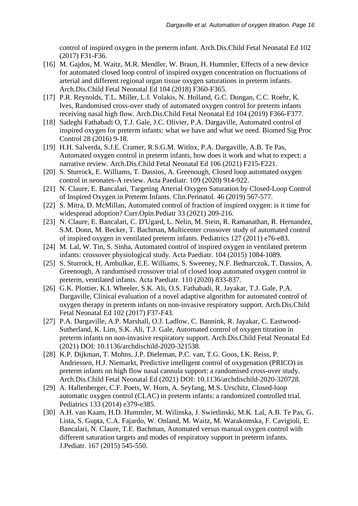control of inspired oxygen in the preterm infant. Arch.Dis.Child Fetal Neonatal Ed 102 (2017) F31-F36.

- [16] M. Gajdos, M. Waitz, M.R. Mendler, W. Braun, H. Hummler, Effects of a new device for automated closed loop control of inspired oxygen concentration on fluctuations of arterial and different regional organ tissue oxygen saturations in preterm infants. Arch.Dis.Child Fetal Neonatal Ed 104 (2018) F360-F365.
- [17] P.R. Reynolds, T.L. Miller, L.I. Volakis, N. Holland, G.C. Dungan, C.C. Roehr, K. Ives, Randomised cross-over study of automated oxygen control for preterm infants receiving nasal high flow. Arch.Dis.Child Fetal Neonatal Ed 104 (2019) F366-F377.
- [18] Sadeghi Fathabadi O, T.J. Gale, J.C. Olivier, P.A. Dargaville, Automated control of inspired oxygen for preterm infants: what we have and what we need. Biomed Sig Proc Control 28 (2016) 9-18.
- [19] H.H. Salverda, S.J.E. Cramer, R.S.G.M. Witlox, P.A. Dargaville, A.B. Te Pas, Automated oxygen control in preterm infants, how does it work and what to expect: a narrative review. Arch.Dis.Child Fetal Neonatal Ed 106 (2021) F215-F221.
- [20] S. Sturrock, E. Williams, T. Dassios, A. Greenough, Closed loop automated oxygen control in neonates-A review. Acta Paediatr. 109 (2020) 914-922.
- [21] N. Claure, E. Bancalari, Targeting Arterial Oxygen Saturation by Closed-Loop Control of Inspired Oxygen in Preterm Infants. Clin.Perinatol. 46 (2019) 567-577.
- [22] S. Mitra, D. McMillan, Automated control of fraction of inspired oxygen: is it time for widespread adoption? Curr.Opin.Pediatr 33 (2021) 209-216.
- [23] N. Claure, E. Bancalari, C. D'Ugard, L. Nelin, M. Stein, R. Ramanathan, R. Hernandez, S.M. Donn, M. Becker, T. Bachman, Multicenter crossover study of automated control of inspired oxygen in ventilated preterm infants. Pediatrics 127 (2011) e76-e83.
- [24] M. Lal, W. Tin, S. Sinha, Automated control of inspired oxygen in ventilated preterm infants: crossover physiological study. Acta Paediatr. 104 (2015) 1084-1089.
- [25] S. Sturrock, H. Ambulkar, E.E. Williams, S. Sweeney, N.F. Bednarczuk, T. Dassios, A. Greenough, A randomised crossover trial of closed loop automated oxygen control in preterm, ventilated infants. Acta Paediatr. 110 (2020) 833-837.
- [26] G.K. Plottier, K.I. Wheeler, S.K. Ali, O.S. Fathabadi, R. Jayakar, T.J. Gale, P.A. Dargaville, Clinical evaluation of a novel adaptive algorithm for automated control of oxygen therapy in preterm infants on non-invasive respiratory support. Arch.Dis.Child Fetal Neonatal Ed 102 (2017) F37-F43.
- [27] P.A. Dargaville, A.P. Marshall, O.J. Ladlow, C. Bannink, R. Jayakar, C. Eastwood-Sutherland, K. Lim, S.K. Ali, T.J. Gale, Automated control of oxygen titration in preterm infants on non-invasive respiratory support. Arch.Dis.Child Fetal Neonatal Ed (2021) DOI: 10.1136/archdischild-2020-321538.
- [28] K.P. Dijkman, T. Mohns, J.P. Dieleman, P.C. van, T.G. Goos, I.K. Reiss, P. Andriessen, H.J. Niemarkt, Predictive intelligent control of oxygenation (PRICO) in preterm infants on high flow nasal cannula support: a randomised cross-over study. Arch.Dis.Child Fetal Neonatal Ed (2021) DOI: 10.1136/archdischild-2020-320728.
- [29] A. Hallenberger, C.F. Poets, W. Horn, A. Seyfang, M.S. Urschitz, Closed-loop automatic oxygen control (CLAC) in preterm infants: a randomized controlled trial. Pediatrics 133 (2014) e379-e385.
- [30] A.H. van Kaam, H.D. Hummler, M. Wilinska, J. Swietlinski, M.K. Lal, A.B. Te Pas, G. Lista, S. Gupta, C.A. Fajardo, W. Onland, M. Waitz, M. Warakomska, F. Cavigioli, E. Bancalari, N. Claure, T.E. Bachman, Automated versus manual oxygen control with different saturation targets and modes of respiratory support in preterm infants. J.Pediatr. 167 (2015) 545-550.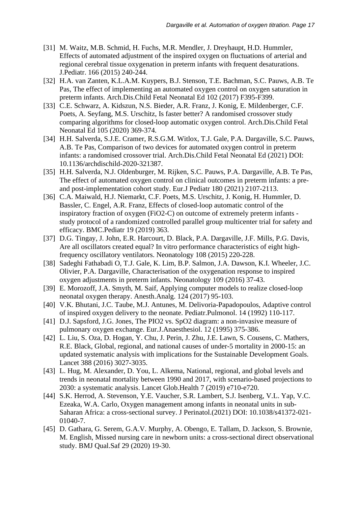- [31] M. Waitz, M.B. Schmid, H. Fuchs, M.R. Mendler, J. Dreyhaupt, H.D. Hummler, Effects of automated adjustment of the inspired oxygen on fluctuations of arterial and regional cerebral tissue oxygenation in preterm infants with frequent desaturations. J.Pediatr. 166 (2015) 240-244.
- [32] H.A. van Zanten, K.L.A.M. Kuypers, B.J. Stenson, T.E. Bachman, S.C. Pauws, A.B. Te Pas, The effect of implementing an automated oxygen control on oxygen saturation in preterm infants. Arch.Dis.Child Fetal Neonatal Ed 102 (2017) F395-F399.
- [33] C.E. Schwarz, A. Kidszun, N.S. Bieder, A.R. Franz, J. Konig, E. Mildenberger, C.F. Poets, A. Seyfang, M.S. Urschitz, Is faster better? A randomised crossover study comparing algorithms for closed-loop automatic oxygen control. Arch.Dis.Child Fetal Neonatal Ed 105 (2020) 369-374.
- [34] H.H. Salverda, S.J.E. Cramer, R.S.G.M. Witlox, T.J. Gale, P.A. Dargaville, S.C. Pauws, A.B. Te Pas, Comparison of two devices for automated oxygen control in preterm infants: a randomised crossover trial. Arch.Dis.Child Fetal Neonatal Ed (2021) DOI: 10.1136/archdischild-2020-321387.
- [35] H.H. Salverda, N.J. Oldenburger, M. Rijken, S.C. Pauws, P.A. Dargaville, A.B. Te Pas, The effect of automated oxygen control on clinical outcomes in preterm infants: a preand post-implementation cohort study. Eur.J Pediatr 180 (2021) 2107-2113.
- [36] C.A. Maiwald, H.J. Niemarkt, C.F. Poets, M.S. Urschitz, J. Konig, H. Hummler, D. Bassler, C. Engel, A.R. Franz, Effects of closed-loop automatic control of the inspiratory fraction of oxygen (FiO2-C) on outcome of extremely preterm infants study protocol of a randomized controlled parallel group multicenter trial for safety and efficacy. BMC.Pediatr 19 (2019) 363.
- [37] D.G. Tingay, J. John, E.R. Harcourt, D. Black, P.A. Dargaville, J.F. Mills, P.G. Davis, Are all oscillators created equal? In vitro performance characteristics of eight highfrequency oscillatory ventilators. Neonatology 108 (2015) 220-228.
- [38] Sadeghi Fathabadi O, T.J. Gale, K. Lim, B.P. Salmon, J.A. Dawson, K.I. Wheeler, J.C. Olivier, P.A. Dargaville, Characterisation of the oxygenation response to inspired oxygen adjustments in preterm infants. Neonatology 109 (2016) 37-43.
- [39] E. Morozoff, J.A. Smyth, M. Saif, Applying computer models to realize closed-loop neonatal oxygen therapy. Anesth.Analg. 124 (2017) 95-103.
- [40] V.K. Bhutani, J.C. Taube, M.J. Antunes, M. Delivoria-Papadopoulos, Adaptive control of inspired oxygen delivery to the neonate. Pediatr.Pulmonol. 14 (1992) 110-117.
- [41] D.J. Sapsford, J.G. Jones, The PIO2 vs. SpO2 diagram: a non-invasive measure of pulmonary oxygen exchange. Eur.J.Anaesthesiol. 12 (1995) 375-386.
- [42] L. Liu, S. Oza, D. Hogan, Y. Chu, J. Perin, J. Zhu, J.E. Lawn, S. Cousens, C. Mathers, R.E. Black, Global, regional, and national causes of under-5 mortality in 2000-15: an updated systematic analysis with implications for the Sustainable Development Goals. Lancet 388 (2016) 3027-3035.
- [43] L. Hug, M. Alexander, D. You, L. Alkema, National, regional, and global levels and trends in neonatal mortality between 1990 and 2017, with scenario-based projections to 2030: a systematic analysis. Lancet Glob.Health 7 (2019) e710-e720.
- [44] S.K. Herrod, A. Stevenson, Y.E. Vaucher, S.R. Lambert, S.J. Isenberg, V.L. Yap, V.C. Ezeaka, W.A. Carlo, Oxygen management among infants in neonatal units in sub-Saharan Africa: a cross-sectional survey. J Perinatol.(2021) DOI: 10.1038/s41372-021- 01040-7.
- [45] D. Gathara, G. Serem, G.A.V. Murphy, A. Obengo, E. Tallam, D. Jackson, S. Brownie, M. English, Missed nursing care in newborn units: a cross-sectional direct observational study. BMJ Qual.Saf 29 (2020) 19-30.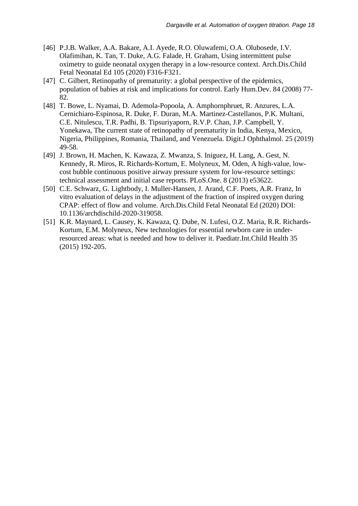- [46] P.J.B. Walker, A.A. Bakare, A.I. Ayede, R.O. Oluwafemi, O.A. Olubosede, I.V. Olafimihan, K. Tan, T. Duke, A.G. Falade, H. Graham, Using intermittent pulse oximetry to guide neonatal oxygen therapy in a low-resource context. Arch.Dis.Child Fetal Neonatal Ed 105 (2020) F316-F321.
- [47] C. Gilbert, Retinopathy of prematurity: a global perspective of the epidemics, population of babies at risk and implications for control. Early Hum.Dev. 84 (2008) 77- 82.
- [48] T. Bowe, L. Nyamai, D. Ademola-Popoola, A. Amphornphruet, R. Anzures, L.A. Cernichiaro-Espinosa, R. Duke, F. Duran, M.A. Martinez-Castellanos, P.K. Multani, C.E. Nitulescu, T.R. Padhi, B. Tipsuriyaporn, R.V.P. Chan, J.P. Campbell, Y. Yonekawa, The current state of retinopathy of prematurity in India, Kenya, Mexico, Nigeria, Philippines, Romania, Thailand, and Venezuela. Digit.J Ophthalmol. 25 (2019) 49-58.
- [49] J. Brown, H. Machen, K. Kawaza, Z. Mwanza, S. Iniguez, H. Lang, A. Gest, N. Kennedy, R. Miros, R. Richards-Kortum, E. Molyneux, M. Oden, A high-value, lowcost bubble continuous positive airway pressure system for low-resource settings: technical assessment and initial case reports. PLoS.One. 8 (2013) e53622.
- [50] C.E. Schwarz, G. Lightbody, I. Muller-Hansen, J. Arand, C.F. Poets, A.R. Franz, In vitro evaluation of delays in the adjustment of the fraction of inspired oxygen during CPAP: effect of flow and volume. Arch.Dis.Child Fetal Neonatal Ed (2020) DOI: 10.1136/archdischild-2020-319058.
- [51] K.R. Maynard, L. Causey, K. Kawaza, Q. Dube, N. Lufesi, O.Z. Maria, R.R. Richards-Kortum, E.M. Molyneux, New technologies for essential newborn care in underresourced areas: what is needed and how to deliver it. Paediatr.Int.Child Health 35 (2015) 192-205.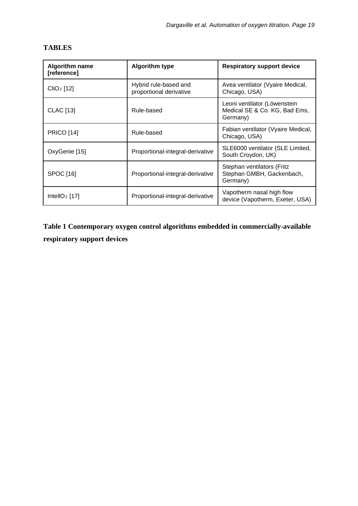| <b>Algorithm name</b><br>[reference] | <b>Algorithm type</b>                            | <b>Respiratory support device</b>                                         |
|--------------------------------------|--------------------------------------------------|---------------------------------------------------------------------------|
| ClIO <sub>2</sub> [12]               | Hybrid rule-based and<br>proportional derivative | Avea ventilator (Vyaire Medical,<br>Chicago, USA)                         |
| <b>CLAC</b> [13]                     | Rule-based                                       | Leoni ventilator (Löwenstein<br>Medical SE & Co. KG, Bad Ems,<br>Germany) |
| <b>PRICO</b> [14]                    | Rule-based                                       | Fabian ventilator (Vyaire Medical,<br>Chicago, USA)                       |
| OxyGenie [15]                        | Proportional-integral-derivative                 | SLE6000 ventilator (SLE Limited,<br>South Croydon, UK)                    |
| SPOC [16]                            | Proportional-integral-derivative                 | Stephan ventilators (Fritz<br>Stephan GMBH, Gackenbach,<br>Germany)       |
| IntellO <sub>2</sub> [17]            | Proportional-integral-derivative                 | Vapotherm nasal high flow<br>device (Vapotherm, Exeter, USA)              |

# **TABLES**

**Table 1 Contemporary oxygen control algorithms embedded in commercially-available respiratory support devices**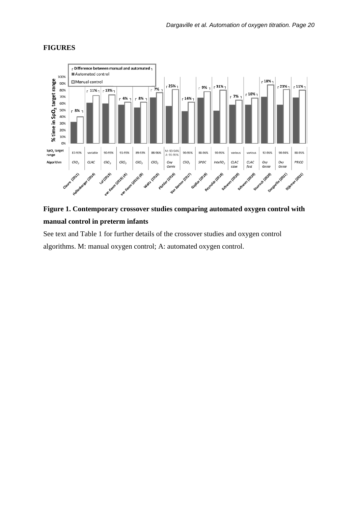



# **Figure 1. Contemporary crossover studies comparing automated oxygen control with manual control in preterm infants**

See text and Table 1 for further details of the crossover studies and oxygen control algorithms. M: manual oxygen control; A: automated oxygen control.